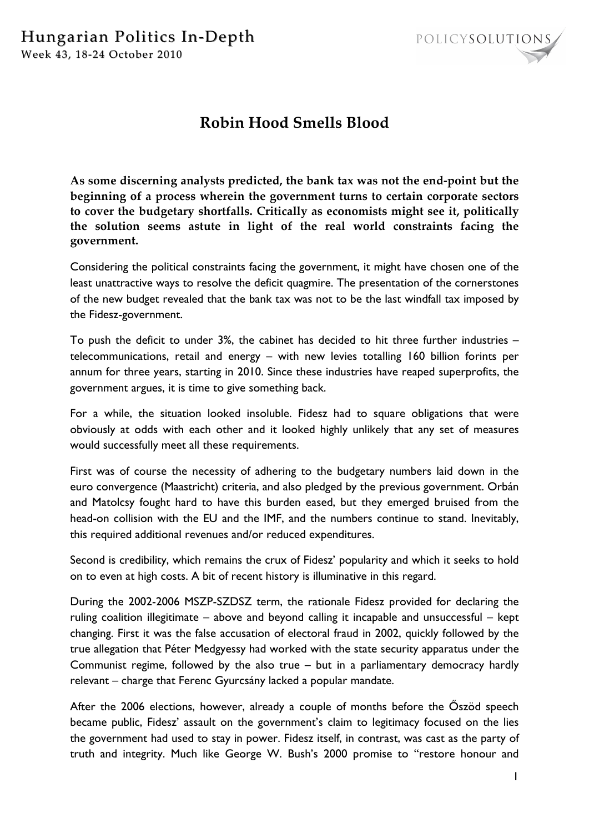

## **Robin Hood Smells Blood**

**As some discerning analysts predicted, the bank tax was not the end-point but the beginning of a process wherein the government turns to certain corporate sectors to cover the budgetary shortfalls. Critically as economists might see it, politically the solution seems astute in light of the real world constraints facing the government.**

Considering the political constraints facing the government, it might have chosen one of the least unattractive ways to resolve the deficit quagmire. The presentation of the cornerstones of the new budget revealed that the bank tax was not to be the last windfall tax imposed by the Fidesz-government.

To push the deficit to under 3%, the cabinet has decided to hit three further industries – telecommunications, retail and energy – with new levies totalling 160 billion forints per annum for three years, starting in 2010. Since these industries have reaped superprofits, the government argues, it is time to give something back.

For a while, the situation looked insoluble. Fidesz had to square obligations that were obviously at odds with each other and it looked highly unlikely that any set of measures would successfully meet all these requirements.

First was of course the necessity of adhering to the budgetary numbers laid down in the euro convergence (Maastricht) criteria, and also pledged by the previous government. Orbán and Matolcsy fought hard to have this burden eased, but they emerged bruised from the head-on collision with the EU and the IMF, and the numbers continue to stand. Inevitably, this required additional revenues and/or reduced expenditures.

Second is credibility, which remains the crux of Fidesz' popularity and which it seeks to hold on to even at high costs. A bit of recent history is illuminative in this regard.

During the 2002-2006 MSZP-SZDSZ term, the rationale Fidesz provided for declaring the ruling coalition illegitimate – above and beyond calling it incapable and unsuccessful – kept changing. First it was the false accusation of electoral fraud in 2002, quickly followed by the true allegation that Péter Medgyessy had worked with the state security apparatus under the Communist regime, followed by the also true – but in a parliamentary democracy hardly relevant – charge that Ferenc Gyurcsány lacked a popular mandate.

After the 2006 elections, however, already a couple of months before the Őszöd speech became public, Fidesz' assault on the government's claim to legitimacy focused on the lies the government had used to stay in power. Fidesz itself, in contrast, was cast as the party of truth and integrity. Much like George W. Bush's 2000 promise to "restore honour and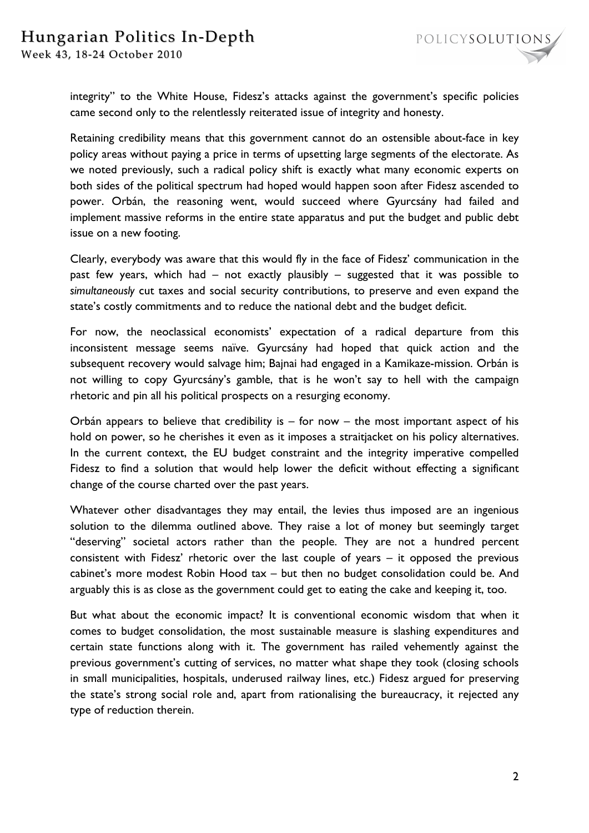integrity" to the White House, Fidesz's attacks against the government's specific policies came second only to the relentlessly reiterated issue of integrity and honesty.

Retaining credibility means that this government cannot do an ostensible about-face in key policy areas without paying a price in terms of upsetting large segments of the electorate. As we noted previously, such a radical policy shift is exactly what many economic experts on both sides of the political spectrum had hoped would happen soon after Fidesz ascended to power. Orbán, the reasoning went, would succeed where Gyurcsány had failed and implement massive reforms in the entire state apparatus and put the budget and public debt issue on a new footing.

Clearly, everybody was aware that this would fly in the face of Fidesz' communication in the past few years, which had – not exactly plausibly – suggested that it was possible to *simultaneously* cut taxes and social security contributions, to preserve and even expand the state's costly commitments and to reduce the national debt and the budget deficit.

For now, the neoclassical economists' expectation of a radical departure from this inconsistent message seems naïve. Gyurcsány had hoped that quick action and the subsequent recovery would salvage him; Bajnai had engaged in a Kamikaze-mission. Orbán is not willing to copy Gyurcsány's gamble, that is he won't say to hell with the campaign rhetoric and pin all his political prospects on a resurging economy.

Orbán appears to believe that credibility is  $-$  for now  $-$  the most important aspect of his hold on power, so he cherishes it even as it imposes a straitjacket on his policy alternatives. In the current context, the EU budget constraint and the integrity imperative compelled Fidesz to find a solution that would help lower the deficit without effecting a significant change of the course charted over the past years.

Whatever other disadvantages they may entail, the levies thus imposed are an ingenious solution to the dilemma outlined above. They raise a lot of money but seemingly target "deserving" societal actors rather than the people. They are not a hundred percent consistent with Fidesz' rhetoric over the last couple of years – it opposed the previous cabinet's more modest Robin Hood tax – but then no budget consolidation could be. And arguably this is as close as the government could get to eating the cake and keeping it, too.

But what about the economic impact? It is conventional economic wisdom that when it comes to budget consolidation, the most sustainable measure is slashing expenditures and certain state functions along with it. The government has railed vehemently against the previous government's cutting of services, no matter what shape they took (closing schools in small municipalities, hospitals, underused railway lines, etc.) Fidesz argued for preserving the state's strong social role and, apart from rationalising the bureaucracy, it rejected any type of reduction therein.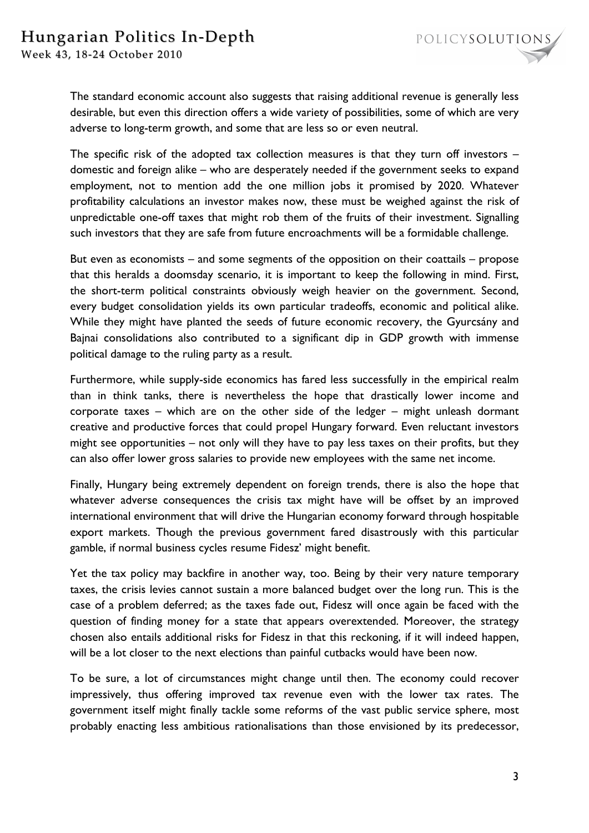The standard economic account also suggests that raising additional revenue is generally less desirable, but even this direction offers a wide variety of possibilities, some of which are very adverse to long-term growth, and some that are less so or even neutral.

The specific risk of the adopted tax collection measures is that they turn off investors – domestic and foreign alike – who are desperately needed if the government seeks to expand employment, not to mention add the one million jobs it promised by 2020. Whatever profitability calculations an investor makes now, these must be weighed against the risk of unpredictable one-off taxes that might rob them of the fruits of their investment. Signalling such investors that they are safe from future encroachments will be a formidable challenge.

But even as economists – and some segments of the opposition on their coattails – propose that this heralds a doomsday scenario, it is important to keep the following in mind. First, the short-term political constraints obviously weigh heavier on the government. Second, every budget consolidation yields its own particular tradeoffs, economic and political alike. While they might have planted the seeds of future economic recovery, the Gyurcsány and Bajnai consolidations also contributed to a significant dip in GDP growth with immense political damage to the ruling party as a result.

Furthermore, while supply-side economics has fared less successfully in the empirical realm than in think tanks, there is nevertheless the hope that drastically lower income and corporate taxes – which are on the other side of the ledger – might unleash dormant creative and productive forces that could propel Hungary forward. Even reluctant investors might see opportunities – not only will they have to pay less taxes on their profits, but they can also offer lower gross salaries to provide new employees with the same net income.

Finally, Hungary being extremely dependent on foreign trends, there is also the hope that whatever adverse consequences the crisis tax might have will be offset by an improved international environment that will drive the Hungarian economy forward through hospitable export markets. Though the previous government fared disastrously with this particular gamble, if normal business cycles resume Fidesz' might benefit.

Yet the tax policy may backfire in another way, too. Being by their very nature temporary taxes, the crisis levies cannot sustain a more balanced budget over the long run. This is the case of a problem deferred; as the taxes fade out, Fidesz will once again be faced with the question of finding money for a state that appears overextended. Moreover, the strategy chosen also entails additional risks for Fidesz in that this reckoning, if it will indeed happen, will be a lot closer to the next elections than painful cutbacks would have been now.

To be sure, a lot of circumstances might change until then. The economy could recover impressively, thus offering improved tax revenue even with the lower tax rates. The government itself might finally tackle some reforms of the vast public service sphere, most probably enacting less ambitious rationalisations than those envisioned by its predecessor,